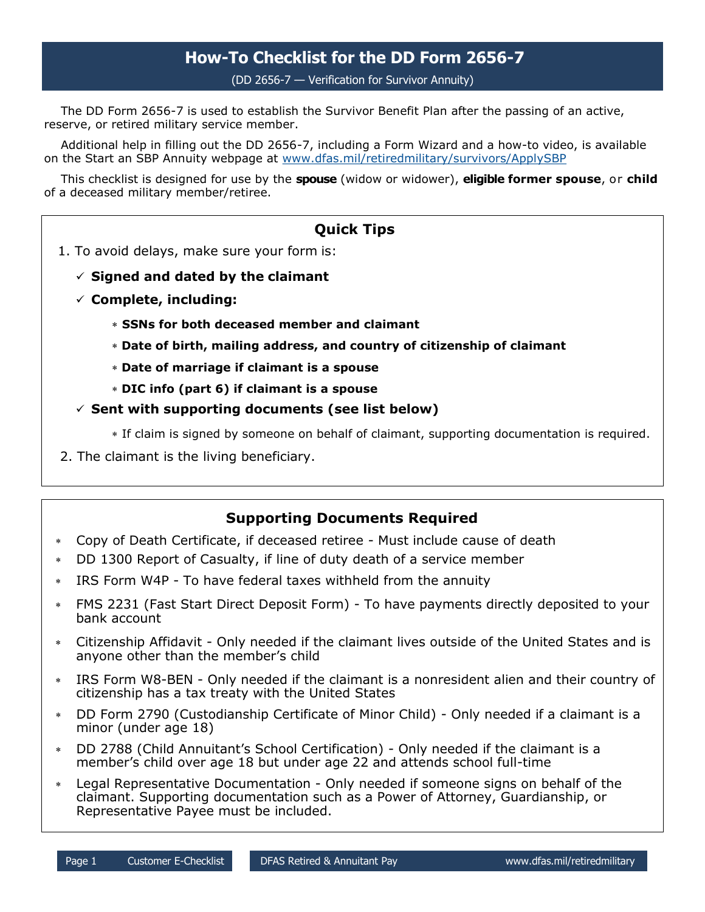# **How-To Checklist for the DD Form 2656-7**

(DD 2656-7 — Verification for Survivor Annuity)

The DD Form 2656-7 is used to establish the Survivor Benefit Plan after the passing of an active, reserve, or retired military service member.

Additional help in filling out the DD 2656-7, including a Form Wizard and a how-to video, is available on the Start an SBP Annuity webpage at [www.dfas.mil/retiredmilitary/survivors/ApplySBP](https://www.dfas.mil/retiredmilitary/survivors/ApplySBP)

This checklist is designed for use by the **spouse** (widow or widower), **eligible former spouse**, or **child** of a deceased military member/retiree.

## **Quick Tips**

- 1. To avoid delays, make sure your form is:
	- **Signed and dated by the claimant**
	- **Complete, including:**
		- **SSNs for both deceased member and claimant**
		- **Date of birth, mailing address, and country of citizenship of claimant**
		- **Date of marriage if claimant is a spouse**
		- **DIC info (part 6) if claimant is a spouse**
	- **Sent with supporting documents (see list below)**
		- If claim is signed by someone on behalf of claimant, supporting documentation is required.
- 2. The claimant is the living beneficiary.

### **Supporting Documents Required**

- Copy of Death Certificate, if deceased retiree Must include cause of death
- DD 1300 Report of Casualty, if line of duty death of a service member
- IRS Form W4P To have federal taxes withheld from the annuity
- FMS 2231 (Fast Start Direct Deposit Form) To have payments directly deposited to your bank account
- Citizenship Affidavit Only needed if the claimant lives outside of the United States and is anyone other than the member's child
- IRS Form W8-BEN Only needed if the claimant is a nonresident alien and their country of citizenship has a tax treaty with the United States
- DD Form 2790 (Custodianship Certificate of Minor Child) Only needed if a claimant is a minor (under age 18)
- DD 2788 (Child Annuitant's School Certification) Only needed if the claimant is a member's child over age 18 but under age 22 and attends school full-time
- Legal Representative Documentation Only needed if someone signs on behalf of the claimant. Supporting documentation such as a Power of Attorney, Guardianship, or Representative Payee must be included.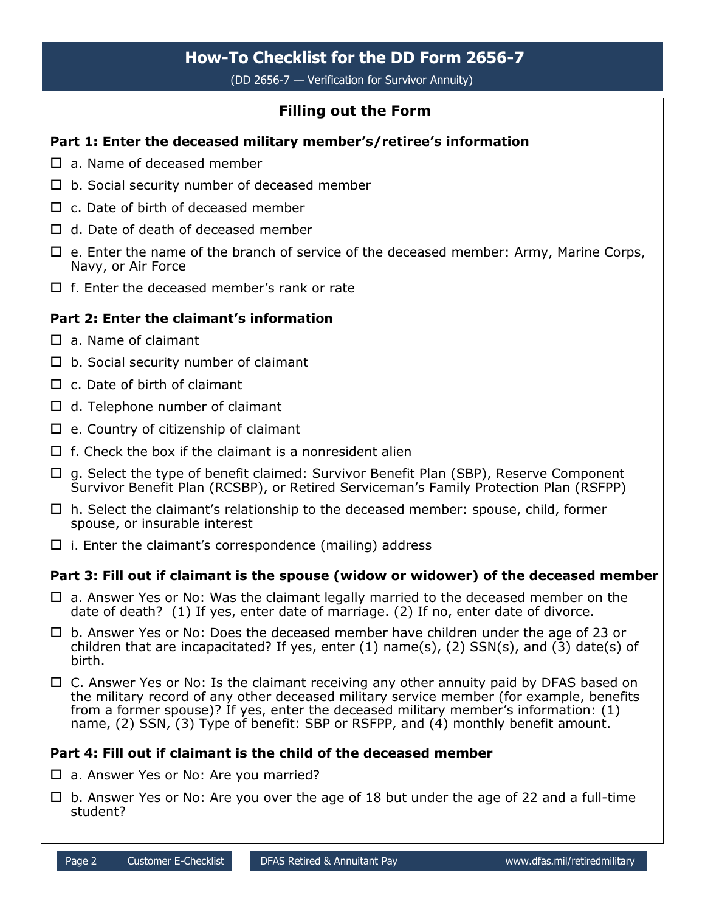# **How-To Checklist for the DD Form 2656-7**

(DD 2656-7 — Verification for Survivor Annuity)

## **Filling out the Form**

### **Part 1: Enter the deceased military member's/retiree's information**

- $\Box$  a. Name of deceased member
- $\Box$  b. Social security number of deceased member
- $\Box$  c. Date of birth of deceased member
- $\Box$  d. Date of death of deceased member
- $\Box$  e. Enter the name of the branch of service of the deceased member: Army, Marine Corps, Navy, or Air Force
- $\Box$  f. Enter the deceased member's rank or rate

### **Part 2: Enter the claimant's information**

- $\Pi$  a. Name of claimant
- $\Box$  b. Social security number of claimant
- $\Box$  c. Date of birth of claimant
- $\Box$  d. Telephone number of claimant
- $\square$  e. Country of citizenship of claimant
- $\Box$  f. Check the box if the claimant is a nonresident alien
- $\Box$  g. Select the type of benefit claimed: Survivor Benefit Plan (SBP), Reserve Component Survivor Benefit Plan (RCSBP), or Retired Serviceman's Family Protection Plan (RSFPP)
- $\Box$  h. Select the claimant's relationship to the deceased member: spouse, child, former spouse, or insurable interest
- $\Box$  i. Enter the claimant's correspondence (mailing) address

### **Part 3: Fill out if claimant is the spouse (widow or widower) of the deceased member**

- $\Box$  a. Answer Yes or No: Was the claimant legally married to the deceased member on the date of death? (1) If yes, enter date of marriage. (2) If no, enter date of divorce.
- $\Box$  b. Answer Yes or No: Does the deceased member have children under the age of 23 or children that are incapacitated? If yes, enter  $(1)$  name(s),  $(2)$  SSN(s), and  $(3)$  date(s) of birth.
- $\Box$  C. Answer Yes or No: Is the claimant receiving any other annuity paid by DFAS based on the military record of any other deceased military service member (for example, benefits from a former spouse)? If yes, enter the deceased military member's information: (1) name, (2) SSN, (3) Type of benefit: SBP or RSFPP, and (4) monthly benefit amount.

### **Part 4: Fill out if claimant is the child of the deceased member**

- $\Box$  a. Answer Yes or No: Are you married?
- $\Box$  b. Answer Yes or No: Are you over the age of 18 but under the age of 22 and a full-time student?